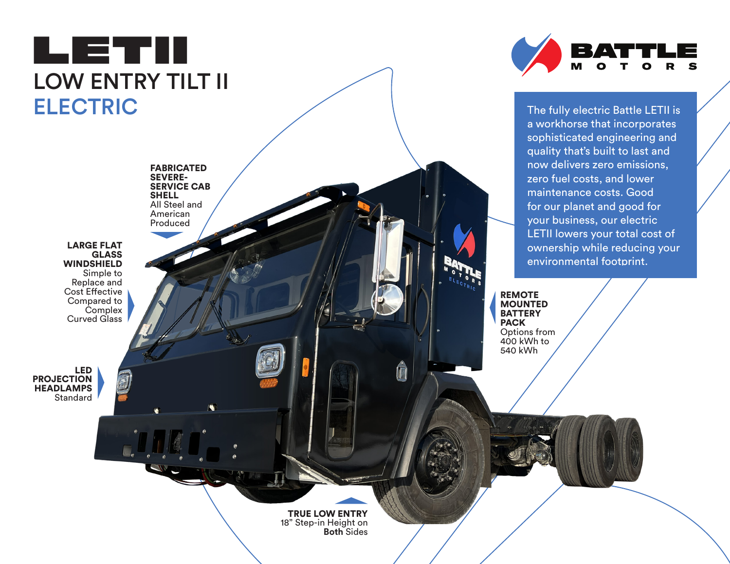



The fully electric Battle LETII is a workhorse that incorporates sophisticated engineering and quality that's built to last and now delivers zero emissions, zero fuel costs, and lower maintenance costs. Good for our planet and good for your business, our electric LETII lowers your total cost of ownership while reducing your environmental footprint.

REMOTE MOUNTED **BATTERY** PACK Options from 400 kWh to 540 kWh